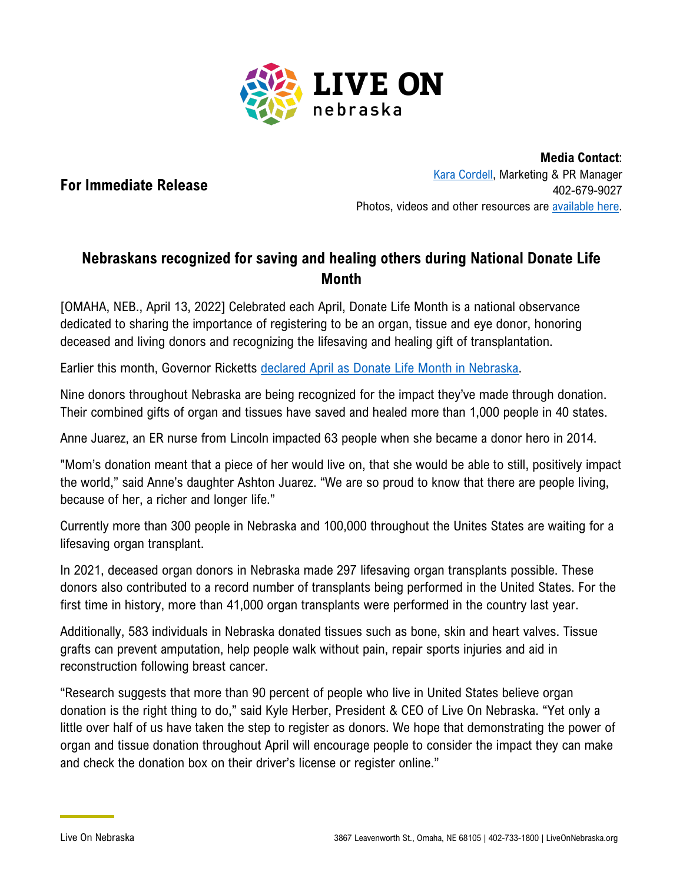

## **For Immediate Release**

**Media Contact**: [Kara Cordell,](mailto:kara.cordell@liveonnebraska.org) Marketing & PR Manager 402-679-9027 Photos, videos and other resources are [available here.](https://liveonnebraska.org/media-resources/donate-life-month-resources/)

## **Nebraskans recognized for saving and healing others during National Donate Life Month**

[OMAHA, NEB., April 13, 2022] Celebrated each April, Donate Life Month is a national observance dedicated to sharing the importance of registering to be an organ, tissue and eye donor, honoring deceased and living donors and recognizing the lifesaving and healing gift of transplantation.

Earlier this month, Governor Ricketts [declared April as Donate Life Month in Nebraska.](https://liveonnebraska.org/wp-content/uploads/2022/04/2022-Donate-Life-Month-Proclamation.pdf)

Nine donors throughout Nebraska are being recognized for the impact they've made through donation. Their combined gifts of organ and tissues have saved and healed more than 1,000 people in 40 states.

Anne Juarez, an ER nurse from Lincoln impacted 63 people when she became a donor hero in 2014.

"Mom's donation meant that a piece of her would live on, that she would be able to still, positively impact the world," said Anne's daughter Ashton Juarez. "We are so proud to know that there are people living, because of her, a richer and longer life."

Currently more than 300 people in Nebraska and 100,000 throughout the Unites States are waiting for a lifesaving organ transplant.

In 2021, deceased organ donors in Nebraska made 297 lifesaving organ transplants possible. These donors also contributed to a record number of transplants being performed in the United States. For the first time in history, more than 41,000 organ transplants were performed in the country last year.

Additionally, 583 individuals in Nebraska donated tissues such as bone, skin and heart valves. Tissue grafts can prevent amputation, help people walk without pain, repair sports injuries and aid in reconstruction following breast cancer.

"Research suggests that more than 90 percent of people who live in United States believe organ donation is the right thing to do," said Kyle Herber, President & CEO of Live On Nebraska. "Yet only a little over half of us have taken the step to register as donors. We hope that demonstrating the power of organ and tissue donation throughout April will encourage people to consider the impact they can make and check the donation box on their driver's license or register online."